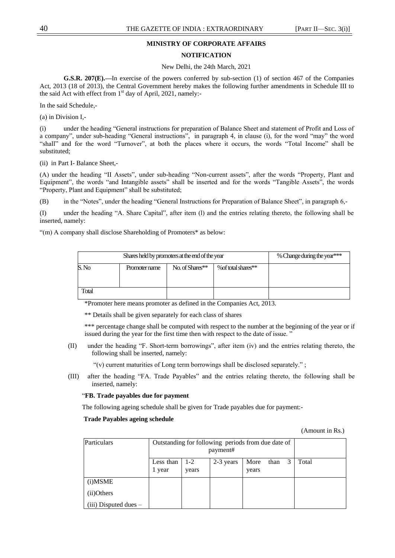# **MINISTRY OF CORPORATE AFFAIRS**

### **NOTIFICATION**

#### New Delhi, the 24th March, 2021

**G.S.R. 207(E).—**In exercise of the powers conferred by sub-section (1) of section 467 of the Companies Act, 2013 (18 of 2013), the Central Government hereby makes the following further amendments in Schedule III to the said Act with effect from  $1<sup>st</sup>$  day of April, 2021, namely:-

In the said Schedule,-

(a) in Division I,-

(i) under the heading "General instructions for preparation of Balance Sheet and statement of Profit and Loss of a company", under sub-heading "General instructions", in paragraph 4, in clause (i), for the word "may" the word "shall" and for the word "Turnover", at both the places where it occurs, the words "Total Income" shall be substituted;

(ii) in Part I- Balance Sheet,-

(A) under the heading "II Assets", under sub-heading "Non-current assets", after the words "Property, Plant and Equipment", the words "and Intangible assets" shall be inserted and for the words "Tangible Assets", the words "Property, Plant and Equipment" shall be substituted;

(B) in the "Notes", under the heading "General Instructions for Preparation of Balance Sheet", in paragraph 6,-

(I) under the heading "A. Share Capital", after item (I) and the entries relating thereto, the following shall be inserted, namely:

"(m) A company shall disclose Shareholding of Promoters\* as below:

|       | Shares held by promoters at the end of the year | % Change during the year*** |                     |  |
|-------|-------------------------------------------------|-----------------------------|---------------------|--|
| S.No  | Promoter name                                   | No. of Shares**             | % of total shares** |  |
| Total |                                                 |                             |                     |  |

\*Promoter here means promoter as defined in the Companies Act, 2013.

\*\* Details shall be given separately for each class of shares

\*\*\* percentage change shall be computed with respect to the number at the beginning of the year or if issued during the year for the first time then with respect to the date of issue."

(II) under the heading "F. Short-term borrowings", after item (iv) and the entries relating thereto, the following shall be inserted, namely:

"(v) current maturities of Long term borrowings shall be disclosed separately.";

(III) after the heading "FA. Trade Payables" and the entries relating thereto, the following shall be inserted, namely:

### ―**FB. Trade payables due for payment**

The following ageing schedule shall be given for Trade payables due for payment:-

#### **Trade Payables ageing schedule**

(Amount in Rs.)

| Particulars               | Outstanding for following periods from due date of |                |           |               |          |  |       |
|---------------------------|----------------------------------------------------|----------------|-----------|---------------|----------|--|-------|
|                           | Less than<br>1 year                                | $1-2$<br>years | 2-3 years | More<br>years | than $3$ |  | Total |
| (i) MSME                  |                                                    |                |           |               |          |  |       |
| (ii)Others                |                                                    |                |           |               |          |  |       |
| $(iii)$ Disputed dues $-$ |                                                    |                |           |               |          |  |       |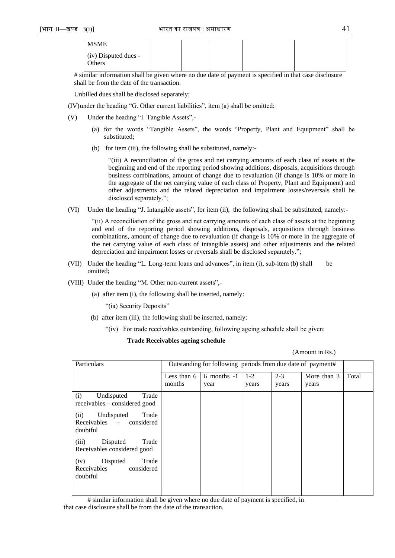| <b>MSME</b>                    |  |  |  |
|--------------------------------|--|--|--|
| (iv) Disputed dues -<br>Others |  |  |  |

# similar information shall be given where no due date of payment is specified in that case disclosure shall be from the date of the transaction.

Unbilled dues shall be disclosed separately;

 $(IV)$ under the heading "G. Other current liabilities", item  $(a)$  shall be omitted;

- $(V)$  Under the heading "I. Tangible Assets",-
	- (a) for the words "Tangible Assets", the words "Property, Plant and Equipment" shall be substituted;
	- (b) for item (iii), the following shall be substituted, namely:-

―(iii) A reconciliation of the gross and net carrying amounts of each class of assets at the beginning and end of the reporting period showing additions, disposals, acquisitions through business combinations, amount of change due to revaluation (if change is 10% or more in the aggregate of the net carrying value of each class of Property, Plant and Equipment) and other adjustments and the related depreciation and impairment losses/reversals shall be disclosed separately.";

(VI) Under the heading "J. Intangible assets", for item (ii), the following shall be substituted, namely:-

―(ii) A reconciliation of the gross and net carrying amounts of each class of assets at the beginning and end of the reporting period showing additions, disposals, acquisitions through business combinations, amount of change due to revaluation (if change is 10% or more in the aggregate of the net carrying value of each class of intangible assets) and other adjustments and the related depreciation and impairment losses or reversals shall be disclosed separately.";

- (VII) Under the heading "L. Long-term loans and advances", in item (i), sub-item (b) shall be omitted;
- (VIII) Under the heading "M. Other non-current assets",-
	- (a) after item (i), the following shall be inserted, namely:

"(ia) Security Deposits"

- (b) after item (iii), the following shall be inserted, namely:
	- ―(iv) For trade receivables outstanding, following ageing schedule shall be given:

### **Trade Receivables ageing schedule**

|  | (Amount in Rs.) |
|--|-----------------|
|--|-----------------|

| Particulars                                                                |                       | Outstanding for following periods from due date of payment# |                  |                  |                      |       |
|----------------------------------------------------------------------------|-----------------------|-------------------------------------------------------------|------------------|------------------|----------------------|-------|
|                                                                            | Less than 6<br>months | $6$ months $-1$<br>year                                     | $1 - 2$<br>years | $2 - 3$<br>years | More than 3<br>years | Total |
| (i)<br>Undisputed<br>Trade<br>receivables – considered good                |                       |                                                             |                  |                  |                      |       |
| Trade<br>(ii)<br>Undisputed<br>considered<br>$Receivables$ $-$<br>doubtful |                       |                                                             |                  |                  |                      |       |
| (iii)<br>Disputed<br>Trade<br>Receivables considered good                  |                       |                                                             |                  |                  |                      |       |
| Disputed<br>Trade<br>(iv)<br>Receivables<br>considered<br>doubtful         |                       |                                                             |                  |                  |                      |       |

# similar information shall be given where no due date of payment is specified, in that case disclosure shall be from the date of the transaction.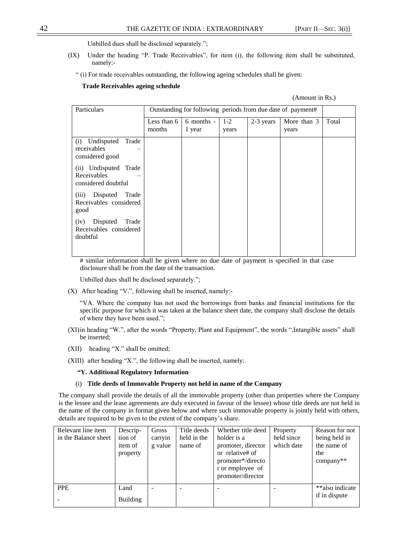Unbilled dues shall be disclosed separately.";

- (IX) Under the heading "P. Trade Receivables", for item (i), the following item shall be substituted, namely:-
	- ― (i) For trade receivables outstanding, the following ageing schedules shall be given:

#### **Trade Receivables ageing schedule**

#### (Amount in Rs.)

| Particulars                                                     |                       | Outstanding for following periods from due date of payment# |                  |           |                      |       |
|-----------------------------------------------------------------|-----------------------|-------------------------------------------------------------|------------------|-----------|----------------------|-------|
|                                                                 | Less than 6<br>months | $6$ months -<br>1 year                                      | $1 - 2$<br>years | 2-3 years | More than 3<br>years | Total |
| (i) Undisputed<br>Trade<br>receivables<br>considered good       |                       |                                                             |                  |           |                      |       |
| Undisputed Trade<br>(ii)<br>Receivables<br>considered doubtful  |                       |                                                             |                  |           |                      |       |
| Disputed<br>Trade<br>(iii)<br>Receivables considered<br>good    |                       |                                                             |                  |           |                      |       |
| Disputed<br>Trade<br>(iv)<br>Receivables considered<br>doubtful |                       |                                                             |                  |           |                      |       |

# similar information shall be given where no due date of payment is specified in that case disclosure shall be from the date of the transaction.

Unbilled dues shall be disclosed separately.";

 $(X)$  After heading "V.", following shall be inserted, namely:-

―VA. Where the company has not used the borrowings from banks and financial institutions for the specific purpose for which it was taken at the balance sheet date, the company shall disclose the details of where they have been used.";

- (XI)in heading "W.", after the words "Property, Plant and Equipment", the words ",Intangible assets" shall be inserted;
- $(XII)$  heading "X." shall be omitted;
- (XIII) after heading "X.", the following shall be inserted, namely:

### **"Y. Additional Regulatory Information**

### (i) **Title deeds of Immovable Property not held in name of the Company**

The company shall provide the details of all the immovable property (other than properties where the Company is the lessee and the lease agreements are duly executed in favour of the lessee) whose title deeds are not held in the name of the company in format given below and where such immovable property is jointly held with others, details are required to be given to the extent of the company's share.

| Relevant line item<br>in the Balance sheet | Descrip-<br>tion of<br>item of<br>property | Gross<br>carryin<br>g value | Title deeds<br>held in the<br>name of | Whether title deed<br>holder is a<br>promoter, director<br>or relative# of<br>promoter*/directo<br>r or employee of<br>promoter/director | Property<br>held since<br>which date | Reason for not<br>being held in<br>the name of<br>the<br>company** |
|--------------------------------------------|--------------------------------------------|-----------------------------|---------------------------------------|------------------------------------------------------------------------------------------------------------------------------------------|--------------------------------------|--------------------------------------------------------------------|
| <b>PPE</b>                                 | Land<br><b>Building</b>                    |                             |                                       |                                                                                                                                          |                                      | **also indicate<br>if in dispute                                   |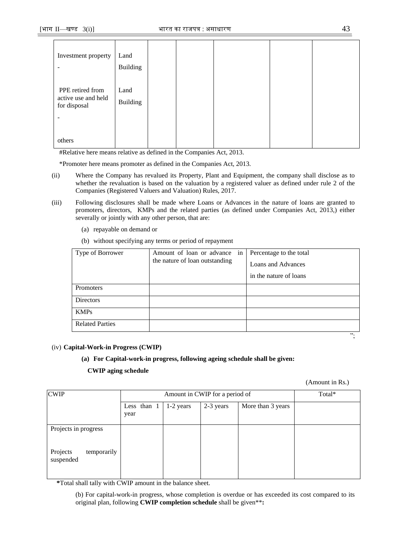| Investment property<br>٠                                     | Land<br><b>Building</b> |  |  |
|--------------------------------------------------------------|-------------------------|--|--|
| PPE retired from<br>active use and held<br>for disposal<br>۰ | Land<br><b>Building</b> |  |  |
| others                                                       |                         |  |  |

#Relative here means relative as defined in the Companies Act, 2013.

\*Promoter here means promoter as defined in the Companies Act, 2013.

- (ii) Where the Company has revalued its Property, Plant and Equipment, the company shall disclose as to whether the revaluation is based on the valuation by a registered valuer as defined under rule 2 of the Companies (Registered Valuers and Valuation) Rules, 2017.
- (iii) Following disclosures shall be made where Loans or Advances in the nature of loans are granted to promoters, directors, KMPs and the related parties (as defined under Companies Act, 2013,) either severally or jointly with any other person, that are:
	- (a) repayable on demand or
	- (b) without specifying any terms or period of repayment

| Type of Borrower       | Amount of loan or advance in<br>the nature of loan outstanding | Percentage to the total<br>Loans and Advances |
|------------------------|----------------------------------------------------------------|-----------------------------------------------|
|                        |                                                                | in the nature of loans                        |
| Promoters              |                                                                |                                               |
| <b>Directors</b>       |                                                                |                                               |
| <b>KMPs</b>            |                                                                |                                               |
| <b>Related Parties</b> |                                                                |                                               |

### (iv) **Capital-Work-in Progress (CWIP)**

### **(a) For Capital-work-in progress, following ageing schedule shall be given:**

### **CWIP aging schedule**

(Amount in Rs.)

‖;

| <b>CWIP</b>                          |                     |           | Amount in CWIP for a period of |                   | Total* |
|--------------------------------------|---------------------|-----------|--------------------------------|-------------------|--------|
|                                      | Less than 1<br>year | 1-2 years | 2-3 years                      | More than 3 years |        |
| Projects in progress                 |                     |           |                                |                   |        |
| Projects<br>temporarily<br>suspended |                     |           |                                |                   |        |

**\***Total shall tally with CWIP amount in the balance sheet.

(b) For capital-work-in progress, whose completion is overdue or has exceeded its cost compared to its original plan, following **CWIP completion schedule** shall be given\*\***:**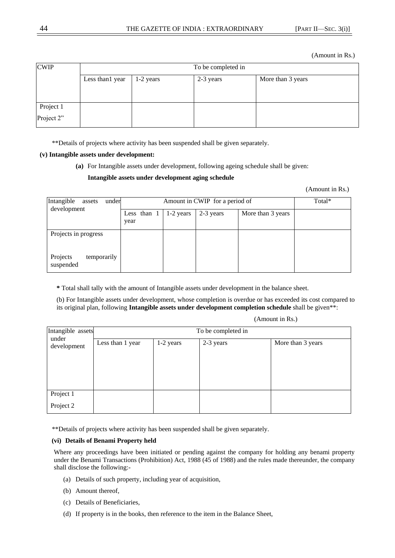(Amount in Rs.)

| <b>CWIP</b> | To be completed in |             |           |                   |  |  |  |
|-------------|--------------------|-------------|-----------|-------------------|--|--|--|
|             | Less than 1 year   | $1-2$ years | 2-3 years | More than 3 years |  |  |  |
|             |                    |             |           |                   |  |  |  |
| Project 1   |                    |             |           |                   |  |  |  |
| Project 2"  |                    |             |           |                   |  |  |  |

\*\*Details of projects where activity has been suspended shall be given separately.

### **(v) Intangible assets under development:**

**(a)** For Intangible assets under development, following ageing schedule shall be given:

# **Intangible assets under development aging schedule**

(Amount in Rs.)

| Intangible<br>under<br>assets<br>development |                     | Total*    |           |                   |  |
|----------------------------------------------|---------------------|-----------|-----------|-------------------|--|
|                                              | Less than 1<br>year | 1-2 years | 2-3 years | More than 3 years |  |
| Projects in progress                         |                     |           |           |                   |  |
| Projects<br>temporarily<br>suspended         |                     |           |           |                   |  |

**\*** Total shall tally with the amount of Intangible assets under development in the balance sheet.

(b) For Intangible assets under development, whose completion is overdue or has exceeded its cost compared to its original plan, following **Intangible assets under development completion schedule** shall be given\*\*:

(Amount in Rs.)

| Intangible assets  |  |  |  |  |  |  |  |  |  |  |  |
|--------------------|--|--|--|--|--|--|--|--|--|--|--|
| To be completed in |  |  |  |  |  |  |  |  |  |  |  |
|                    |  |  |  |  |  |  |  |  |  |  |  |
|                    |  |  |  |  |  |  |  |  |  |  |  |
|                    |  |  |  |  |  |  |  |  |  |  |  |
|                    |  |  |  |  |  |  |  |  |  |  |  |
|                    |  |  |  |  |  |  |  |  |  |  |  |
|                    |  |  |  |  |  |  |  |  |  |  |  |
|                    |  |  |  |  |  |  |  |  |  |  |  |
|                    |  |  |  |  |  |  |  |  |  |  |  |
| More than 3 years  |  |  |  |  |  |  |  |  |  |  |  |

\*\*Details of projects where activity has been suspended shall be given separately.

# **(vi) Details of Benami Property held**

Where any proceedings have been initiated or pending against the company for holding any benami property under the Benami Transactions (Prohibition) Act, 1988 (45 of 1988) and the rules made thereunder, the company shall disclose the following:-

- (a) Details of such property, including year of acquisition,
- (b) Amount thereof,
- (c) Details of Beneficiaries,
- (d) If property is in the books, then reference to the item in the Balance Sheet,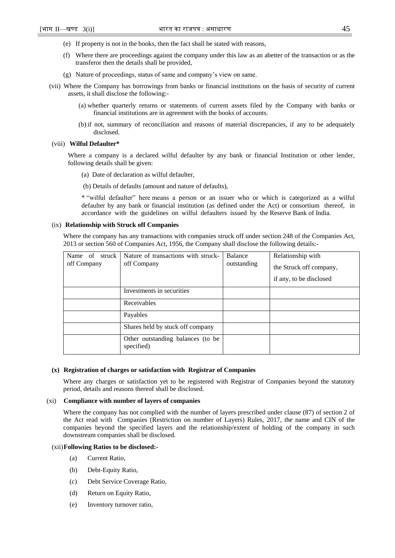- (e) If property is not in the books, then the fact shall be stated with reasons,
- (f) Where there are proceedings against the company under this law as an abetter of the transaction or as the transferor then the details shall be provided,
- (g) Nature of proceedings, status of same and company's view on same.
- (vii) Where the Company has borrowings from banks or financial institutions on the basis of security of current assets, it shall disclose the following:-
	- (a) whether quarterly returns or statements of current assets filed by the Company with banks or financial institutions are in agreement with the books of accounts.
	- (b) if not, summary of reconciliation and reasons of material discrepancies, if any to be adequately disclosed.

## (viii) **Wilful Defaulter\***

Where a company is a declared wilful defaulter by any bank or financial Institution or other lender, following details shall be given:

- (a) Date of declaration as wilful defaulter,
- (b) Details of defaults (amount and nature of defaults),

\* ―wilful defaulter‖ here means a person or an issuer who or which is categorized as a wilful defaulter by any bank or financial institution (as defined under the Act) or consortium thereof, in accordance with the guidelines on wilful defaulters issued by the Reserve Bank of India.

#### (ix) **Relationship with Struck off Companies**

Where the company has any transactions with companies struck off under section 248 of the Companies Act, 2013 or section 560 of Companies Act, 1956, the Company shall disclose the following details:-

| Name of struck<br>off Company | Nature of transactions with struck-<br>off Company | Balance<br>outstanding | Relationship with<br>the Struck off company, |
|-------------------------------|----------------------------------------------------|------------------------|----------------------------------------------|
|                               |                                                    |                        | if any, to be disclosed                      |
|                               | Investments in securities                          |                        |                                              |
|                               | Receivables                                        |                        |                                              |
|                               | Payables                                           |                        |                                              |
|                               | Shares held by stuck off company                   |                        |                                              |
|                               | Other outstanding balances (to be<br>specified)    |                        |                                              |

#### **(x) Registration of charges or satisfaction with Registrar of Companies**

Where any charges or satisfaction yet to be registered with Registrar of Companies beyond the statutory period, details and reasons thereof shall be disclosed.

#### (xi) **Compliance with number of layers of companies**

Where the company has not complied with the number of layers prescribed under clause (87) of section 2 of the Act read with Companies (Restriction on number of Layers) Rules, 2017, the name and CIN of the companies beyond the specified layers and the relationship/extent of holding of the company in such downstream companies shall be disclosed.

#### (xii)**Following Ratios to be disclosed:-**

- (a) Current Ratio,
- (b) Debt-Equity Ratio,
- (c) Debt Service Coverage Ratio,
- (d) Return on Equity Ratio,
- (e) Inventory turnover ratio,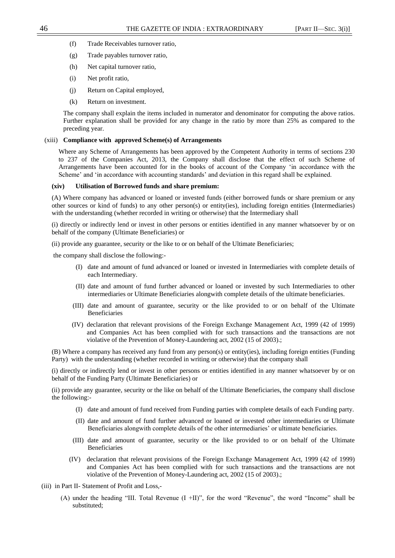- (f) Trade Receivables turnover ratio,
- (g) Trade payables turnover ratio,
- (h) Net capital turnover ratio,
- (i) Net profit ratio,
- (j) Return on Capital employed,
- (k) Return on investment.

The company shall explain the items included in numerator and denominator for computing the above ratios. Further explanation shall be provided for any change in the ratio by more than 25% as compared to the preceding year.

#### (xiii) **Compliance with approved Scheme(s) of Arrangements**

Where any Scheme of Arrangements has been approved by the Competent Authority in terms of sections 230 to 237 of the Companies Act, 2013, the Company shall disclose that the effect of such Scheme of Arrangements have been accounted for in the books of account of the Company 'in accordance with the Scheme' and 'in accordance with accounting standards' and deviation in this regard shall be explained.

#### **(xiv) Utilisation of Borrowed funds and share premium:**

(A) Where company has advanced or loaned or invested funds (either borrowed funds or share premium or any other sources or kind of funds) to any other person(s) or entity(ies), including foreign entities (Intermediaries) with the understanding (whether recorded in writing or otherwise) that the Intermediary shall

(i) directly or indirectly lend or invest in other persons or entities identified in any manner whatsoever by or on behalf of the company (Ultimate Beneficiaries) or

(ii) provide any guarantee, security or the like to or on behalf of the Ultimate Beneficiaries;

the company shall disclose the following:-

- (I) date and amount of fund advanced or loaned or invested in Intermediaries with complete details of each Intermediary.
- (II) date and amount of fund further advanced or loaned or invested by such Intermediaries to other intermediaries or Ultimate Beneficiaries alongwith complete details of the ultimate beneficiaries.
- (III) date and amount of guarantee, security or the like provided to or on behalf of the Ultimate Beneficiaries
- (IV) declaration that relevant provisions of the Foreign Exchange Management Act, 1999 (42 of 1999) and Companies Act has been complied with for such transactions and the transactions are not violative of the Prevention of Money-Laundering act, 2002 (15 of 2003).;

(B) Where a company has received any fund from any person(s) or entity(ies), including foreign entities (Funding Party)with the understanding (whether recorded in writing or otherwise) that the company shall

(i) directly or indirectly lend or invest in other persons or entities identified in any manner whatsoever by or on behalf of the Funding Party (Ultimate Beneficiaries) or

(ii) provide any guarantee, security or the like on behalf of the Ultimate Beneficiaries, the company shall disclose the following:-

- (I) date and amount of fund received from Funding parties with complete details of each Funding party.
- (II) date and amount of fund further advanced or loaned or invested other intermediaries or Ultimate Beneficiaries alongwith complete details of the other intermediaries' or ultimate beneficiaries.
- (III) date and amount of guarantee, security or the like provided to or on behalf of the Ultimate Beneficiaries
- (IV) declaration that relevant provisions of the Foreign Exchange Management Act, 1999 (42 of 1999) and Companies Act has been complied with for such transactions and the transactions are not violative of the Prevention of Money-Laundering act, 2002 (15 of 2003).;
- (iii) in Part II- Statement of Profit and Loss,-
	- (A) under the heading "III. Total Revenue  $(I + II)$ ", for the word "Revenue", the word "Income" shall be substituted;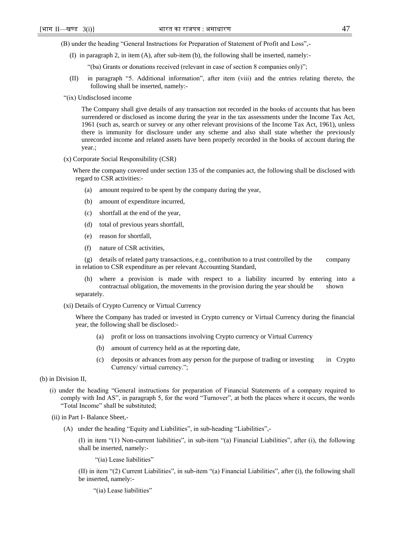(B) under the heading "General Instructions for Preparation of Statement of Profit and Loss",-

(I) in paragraph 2, in item (A), after sub-item (b), the following shall be inserted, namely:-

"(ba) Grants or donations received (relevant in case of section 8 companies only)";

- (II) in paragraph ―5. Additional information‖, after item (viii) and the entries relating thereto, the following shall be inserted, namely:-
- ―(ix) Undisclosed income

The Company shall give details of any transaction not recorded in the books of accounts that has been surrendered or disclosed as income during the year in the tax assessments under the Income Tax Act, 1961 (such as, search or survey or any other relevant provisions of the Income Tax Act, 1961), unless there is immunity for disclosure under any scheme and also shall state whether the previously unrecorded income and related assets have been properly recorded in the books of account during the year.;

(x) Corporate Social Responsibility (CSR)

Where the company covered under section 135 of the companies act, the following shall be disclosed with regard to CSR activities:-

- (a) amount required to be spent by the company during the year,
- (b) amount of expenditure incurred,
- (c) shortfall at the end of the year,
- (d) total of previous years shortfall,
- (e) reason for shortfall,
- (f) nature of CSR activities,

(g) details of related party transactions, e.g., contribution to a trust controlled by the company in relation to CSR expenditure as per relevant Accounting Standard,

- (h) where a provision is made with respect to a liability incurred by entering into a contractual obligation, the movements in the provision during the year should be shown separately.
- 
- (xi) Details of Crypto Currency or Virtual Currency

Where the Company has traded or invested in Crypto currency or Virtual Currency during the financial year, the following shall be disclosed:-

- (a) profit or loss on transactions involving Crypto currency or Virtual Currency
- (b) amount of currency held as at the reporting date,
- (c) deposits or advances from any person for the purpose of trading or investing in Crypto Currency/ virtual currency.";
- (b) in Division II,
	- (i) under the heading ―General instructions for preparation of Financial Statements of a company required to comply with Ind AS", in paragraph 5, for the word "Turnover", at both the places where it occurs, the words "Total Income" shall be substituted;
	- (ii) in Part I- Balance Sheet,-
		- $(A)$  under the heading "Equity and Liabilities", in sub-heading "Liabilities",-

 $(1)$  in item " $(1)$  Non-current liabilities", in sub-item " $(a)$  Financial Liabilities", after  $(i)$ , the following shall be inserted, namely:-

"(ia) Lease liabilities"

 $(II)$  in item " $(2)$  Current Liabilities", in sub-item " $(a)$  Financial Liabilities", after  $(i)$ , the following shall be inserted, namely:-

"(ia) Lease liabilities"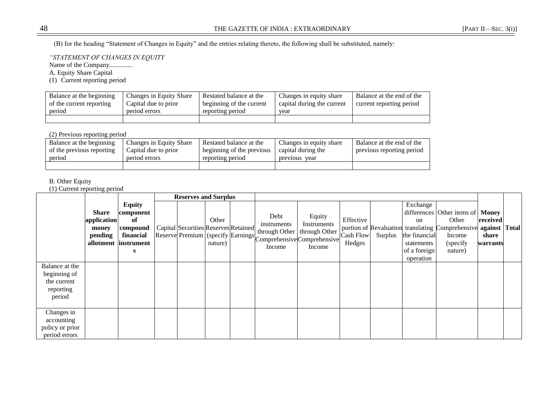(B) for the heading "Statement of Changes in Equity" and the entries relating thereto, the following shall be substituted, namely:

*"STATEMENT OF CHANGES IN EQUITY*

Name of the Company..............

A. Equity Share Capital

(1) Current reporting period

| Balance at the beginning | Changes in Equity Share | Restated balance at the  | Changes in equity share    | Balance at the end of the |
|--------------------------|-------------------------|--------------------------|----------------------------|---------------------------|
| of the current reporting | Capital due to prior    | beginning of the current | capital during the current | current reporting period  |
| period                   | period errors           | reporting period         | year                       |                           |
|                          |                         |                          |                            |                           |

# (2) Previous reporting period

| Balance at the beginning  | Changes in Equity Share | Restated balance at the   | Changes in equity share | Balance at the end of the |
|---------------------------|-------------------------|---------------------------|-------------------------|---------------------------|
| of the previous reporting | Capital due to prior    | beginning of the previous | capital during the      | previous reporting period |
| period                    | period errors           | reporting period          | previous<br>year        |                           |
|                           |                         |                           |                         |                           |

# B. Other Equity

(1) Current reporting period

|                                                                      |                                          |                                                                                   | <b>Reserves and Surplus</b>          |                  |                                                                                                                 |                                                  |                                  |         |                                               |                                                                                                                                    |                               |  |
|----------------------------------------------------------------------|------------------------------------------|-----------------------------------------------------------------------------------|--------------------------------------|------------------|-----------------------------------------------------------------------------------------------------------------|--------------------------------------------------|----------------------------------|---------|-----------------------------------------------|------------------------------------------------------------------------------------------------------------------------------------|-------------------------------|--|
|                                                                      | Share<br>application<br>money<br>pending | <b>Equity</b><br>component<br>of<br>compound<br>financial<br>allotment instrument | Capital Securities Reserves Retained | Other<br>nature) | Debt<br>instruments<br>through Other<br>Reserve Premium (specify Earnings Comprehensive Comprehensive<br>Income | Equity<br>Instruments<br>through Other<br>Income | Effective<br>Cash Flow<br>Hedges | Surplus | Exchange<br>on<br>the financial<br>statements | differences Other items of Money<br>Other<br>portion of Revaluation translating Comprehensive against Total<br>Income<br>(specify) | received<br>share<br>warrants |  |
|                                                                      |                                          | s                                                                                 |                                      |                  |                                                                                                                 |                                                  |                                  |         | of a foreign<br>operation                     | nature)                                                                                                                            |                               |  |
| Balance at the<br>beginning of<br>the current<br>reporting<br>period |                                          |                                                                                   |                                      |                  |                                                                                                                 |                                                  |                                  |         |                                               |                                                                                                                                    |                               |  |
| Changes in<br>accounting<br>policy or prior<br>period errors         |                                          |                                                                                   |                                      |                  |                                                                                                                 |                                                  |                                  |         |                                               |                                                                                                                                    |                               |  |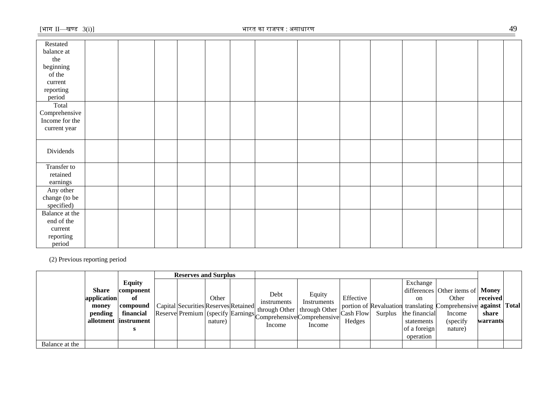| Restated       |  |  |  |  |  |  |  |
|----------------|--|--|--|--|--|--|--|
| balance at     |  |  |  |  |  |  |  |
| the            |  |  |  |  |  |  |  |
| beginning      |  |  |  |  |  |  |  |
| of the         |  |  |  |  |  |  |  |
| current        |  |  |  |  |  |  |  |
| reporting      |  |  |  |  |  |  |  |
| period         |  |  |  |  |  |  |  |
| Total          |  |  |  |  |  |  |  |
| Comprehensive  |  |  |  |  |  |  |  |
| Income for the |  |  |  |  |  |  |  |
| current year   |  |  |  |  |  |  |  |
|                |  |  |  |  |  |  |  |
|                |  |  |  |  |  |  |  |
| Dividends      |  |  |  |  |  |  |  |
|                |  |  |  |  |  |  |  |
| Transfer to    |  |  |  |  |  |  |  |
| retained       |  |  |  |  |  |  |  |
| earnings       |  |  |  |  |  |  |  |
| Any other      |  |  |  |  |  |  |  |
| change (to be  |  |  |  |  |  |  |  |
| specified)     |  |  |  |  |  |  |  |
| Balance at the |  |  |  |  |  |  |  |
| end of the     |  |  |  |  |  |  |  |
| current        |  |  |  |  |  |  |  |
| reporting      |  |  |  |  |  |  |  |
| period         |  |  |  |  |  |  |  |

(2) Previous reporting period

|                |              |                       | <b>Reserves and Surplus</b>          |         |                                                               |             |                  |         |               |                                                                |          |  |
|----------------|--------------|-----------------------|--------------------------------------|---------|---------------------------------------------------------------|-------------|------------------|---------|---------------|----------------------------------------------------------------|----------|--|
|                |              | <b>Equity</b>         |                                      |         |                                                               |             |                  |         | Exchange      |                                                                |          |  |
|                | <b>Share</b> | component             |                                      |         | Debt                                                          | Equity      |                  |         |               | differences Other items of Money                               |          |  |
|                | application  |                       |                                      | Other   | instruments                                                   | Instruments | Effective        |         | <sub>on</sub> | Other                                                          | received |  |
|                | money        | compound              | Capital Securities Reserves Retained |         | through Other   through Other                                 |             |                  |         |               | portion of Revaluation translating Comprehensive against Total |          |  |
|                | pending      | financial             |                                      |         | Reserve Premium (specify Earnings Comprehensive Comprehensive |             | <b>Cash Flow</b> | Surplus | the financial | Income                                                         | share    |  |
|                |              | allotment linstrument |                                      | nature) |                                                               |             | Hedges           |         | statements    | (specify                                                       | warrants |  |
|                |              |                       |                                      |         | Income                                                        | Income      |                  |         | of a foreign  | nature)                                                        |          |  |
|                |              |                       |                                      |         |                                                               |             |                  |         | operation     |                                                                |          |  |
| Balance at the |              |                       |                                      |         |                                                               |             |                  |         |               |                                                                |          |  |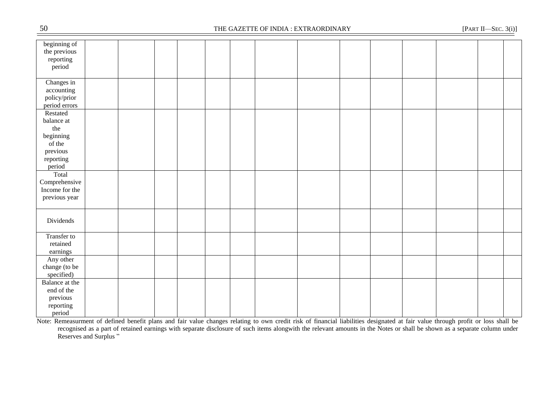| $50\,$                                                                                  | THE GAZETTE OF INDIA : EXTRAORDINARY |  |  |  |  |  |  |  |  |  | [PART II-SEC. $3(i)$ ] |  |  |
|-----------------------------------------------------------------------------------------|--------------------------------------|--|--|--|--|--|--|--|--|--|------------------------|--|--|
| beginning of<br>the previous<br>reporting<br>period                                     |                                      |  |  |  |  |  |  |  |  |  |                        |  |  |
| Changes $\overline{in}$<br>accounting<br>policy/prior<br>period errors                  |                                      |  |  |  |  |  |  |  |  |  |                        |  |  |
| Restated<br>balance at<br>the<br>beginning<br>of the<br>previous<br>reporting<br>period |                                      |  |  |  |  |  |  |  |  |  |                        |  |  |
| Total<br>Comprehensive<br>Income for the<br>previous year                               |                                      |  |  |  |  |  |  |  |  |  |                        |  |  |
| Dividends                                                                               |                                      |  |  |  |  |  |  |  |  |  |                        |  |  |
| Transfer to<br>retained<br>earnings                                                     |                                      |  |  |  |  |  |  |  |  |  |                        |  |  |
| Any other<br>change (to be<br>specified)                                                |                                      |  |  |  |  |  |  |  |  |  |                        |  |  |
| Balance at the<br>end of the<br>previous<br>reporting<br>period                         |                                      |  |  |  |  |  |  |  |  |  |                        |  |  |

Note: Remeasurment of defined benefit plans and fair value changes relating to own credit risk of financial liabilities designated at fair value through profit or loss shall be recognised as a part of retained earnings with separate disclosure of such items alongwith the relevant amounts in the Notes or shall be shown as a separate column under Reserves and Surplus "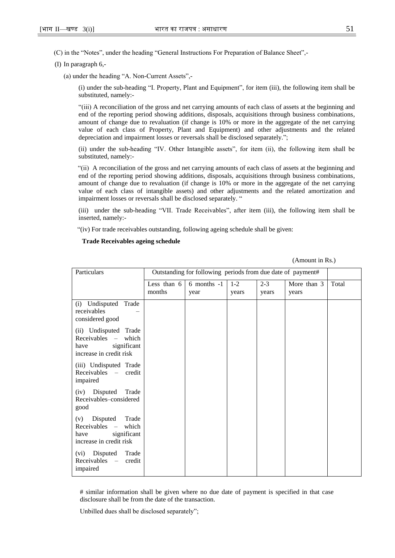(C) in the "Notes", under the heading "General Instructions For Preparation of Balance Sheet",-

(I) In paragraph 6,-

(a) under the heading "A. Non-Current Assets",-

(i) under the sub-heading "I. Property, Plant and Equipment", for item (iii), the following item shall be substituted, namely:-

―(iii) A reconciliation of the gross and net carrying amounts of each class of assets at the beginning and end of the reporting period showing additions, disposals, acquisitions through business combinations, amount of change due to revaluation (if change is 10% or more in the aggregate of the net carrying value of each class of Property, Plant and Equipment) and other adjustments and the related depreciation and impairment losses or reversals shall be disclosed separately.";

(ii) under the sub-heading "IV. Other Intangible assets", for item (ii), the following item shall be substituted, namely:-

―(ii) A reconciliation of the gross and net carrying amounts of each class of assets at the beginning and end of the reporting period showing additions, disposals, acquisitions through business combinations, amount of change due to revaluation (if change is 10% or more in the aggregate of the net carrying value of each class of intangible assets) and other adjustments and the related amortization and impairment losses or reversals shall be disclosed separately. "

(iii) under the sub-heading "VII. Trade Receivables", after item (iii), the following item shall be inserted, namely:-

―(iv) For trade receivables outstanding, following ageing schedule shall be given:

#### **Trade Receivables ageing schedule**

| (Amount in Rs.) |  |
|-----------------|--|
|                 |  |

| Particulars                                                                                       | Outstanding for following periods from due date of payment# |                       |                  |                  |                      |       |  |  |  |
|---------------------------------------------------------------------------------------------------|-------------------------------------------------------------|-----------------------|------------------|------------------|----------------------|-------|--|--|--|
|                                                                                                   | Less than 6<br>months                                       | 6 months $-1$<br>year | $1 - 2$<br>years | $2 - 3$<br>years | More than 3<br>years | Total |  |  |  |
| (i) Undisputed Trade<br>receivables<br>considered good                                            |                                                             |                       |                  |                  |                      |       |  |  |  |
| (ii) Undisputed Trade<br>Receivables - which<br>significant<br>have<br>increase in credit risk    |                                                             |                       |                  |                  |                      |       |  |  |  |
| (iii) Undisputed Trade<br>Receivables – credit<br>impaired                                        |                                                             |                       |                  |                  |                      |       |  |  |  |
| (iv) Disputed<br>Trade<br>Receivables-considered<br>good                                          |                                                             |                       |                  |                  |                      |       |  |  |  |
| Disputed Trade<br>(v)<br>Receivables –<br>which<br>significant<br>have<br>increase in credit risk |                                                             |                       |                  |                  |                      |       |  |  |  |
| (vi) Disputed Trade<br>Receivables –<br>credit<br>impaired                                        |                                                             |                       |                  |                  |                      |       |  |  |  |

# similar information shall be given where no due date of payment is specified in that case disclosure shall be from the date of the transaction.

Unbilled dues shall be disclosed separately";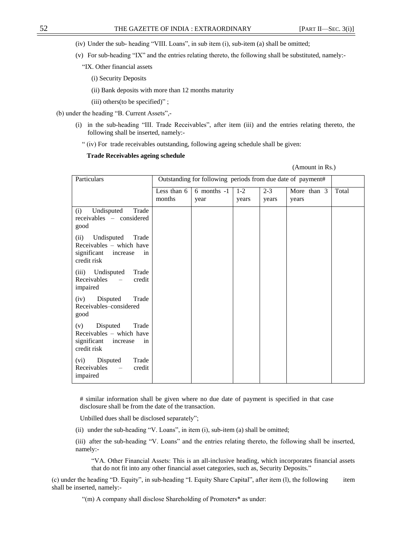- (iv) Under the sub- heading "VIII. Loans", in sub item (i), sub-item (a) shall be omitted;
- (v) For sub-heading "IX" and the entries relating thereto, the following shall be substituted, namely:-
	- "IX. Other financial assets
		- (i) Security Deposits
		- (ii) Bank deposits with more than 12 months maturity
		- (iii) others (to be specified)";
- (b) under the heading "B. Current Assets".-
	- (i) in the sub-heading "III. Trade Receivables", after item (iii) and the entries relating thereto, the following shall be inserted, namely:-
		- ― (iv) For trade receivables outstanding, following ageing schedule shall be given:

### **Trade Receivables ageing schedule**

| (Amount in Rs.) |  |
|-----------------|--|
|                 |  |

| Particulars                                                                                             | Outstanding for following periods from due date of payment# |                         |                  |                  |                      |       |  |  |  |  |
|---------------------------------------------------------------------------------------------------------|-------------------------------------------------------------|-------------------------|------------------|------------------|----------------------|-------|--|--|--|--|
|                                                                                                         | Less than 6<br>months                                       | $6$ months $-1$<br>year | $1 - 2$<br>years | $2 - 3$<br>years | More than 3<br>years | Total |  |  |  |  |
| Undisputed<br>Trade<br>(i)<br>receivables - considered<br>good                                          |                                                             |                         |                  |                  |                      |       |  |  |  |  |
| Undisputed<br>(ii)<br>Trade<br>Receivables - which have<br>significant<br>increase<br>in<br>credit risk |                                                             |                         |                  |                  |                      |       |  |  |  |  |
| (iii) Undisputed<br>Trade<br>Receivables<br>credit<br>$\equiv$<br>impaired                              |                                                             |                         |                  |                  |                      |       |  |  |  |  |
| Disputed<br>Trade<br>(iv)<br>Receivables-considered<br>good                                             |                                                             |                         |                  |                  |                      |       |  |  |  |  |
| Disputed<br>Trade<br>(v)<br>Receivables - which have<br>significant<br>increase<br>in<br>credit risk    |                                                             |                         |                  |                  |                      |       |  |  |  |  |
| (vi)<br>Disputed<br>Trade<br>Receivables<br>credit<br>$\overline{\phantom{m}}$<br>impaired              |                                                             |                         |                  |                  |                      |       |  |  |  |  |

# similar information shall be given where no due date of payment is specified in that case disclosure shall be from the date of the transaction.

Unbilled dues shall be disclosed separately";

- (ii) under the sub-heading "V. Loans", in item (i), sub-item (a) shall be omitted;
- (iii) after the sub-heading "V. Loans" and the entries relating thereto, the following shall be inserted, namely:-

―VA. Other Financial Assets: This is an all-inclusive heading, which incorporates financial assets that do not fit into any other financial asset categories, such as, Security Deposits."

(c) under the heading "D. Equity", in sub-heading "I. Equity Share Capital", after item (l), the following item shall be inserted, namely:-

"(m) A company shall disclose Shareholding of Promoters\* as under: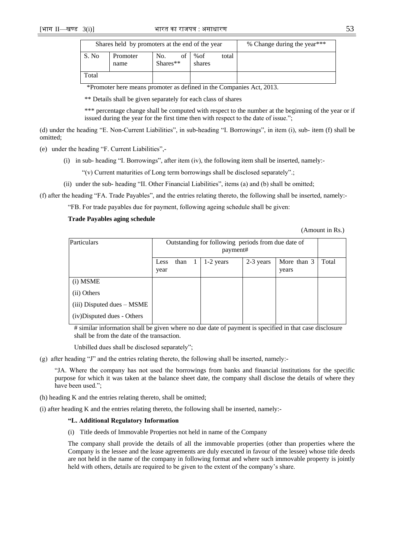|       | Shares held by promoters at the end of the year | % Change during the year*** |                      |       |  |
|-------|-------------------------------------------------|-----------------------------|----------------------|-------|--|
| S. No | Promoter<br>name                                | of<br>No.<br>Shares**       | % $\sigma$<br>shares | total |  |
| Total |                                                 |                             |                      |       |  |

\*Promoter here means promoter as defined in the Companies Act, 2013.

\*\* Details shall be given separately for each class of shares

\*\*\* percentage change shall be computed with respect to the number at the beginning of the year or if issued during the year for the first time then with respect to the date of issue.";

(d) under the heading "E. Non-Current Liabilities", in sub-heading "I. Borrowings", in item (i), sub- item (f) shall be omitted;

(e) under the heading "F. Current Liabilities",-

(i) in sub- heading  $H$ . Borrowings", after item (iv), the following item shall be inserted, namely:-

"(v) Current maturities of Long term borrowings shall be disclosed separately".;

(ii) under the sub- heading "II. Other Financial Liabilities", items (a) and (b) shall be omitted;

(f) after the heading "FA. Trade Payables", and the entries relating thereto, the following shall be inserted, namely:-

―FB. For trade payables due for payment, following ageing schedule shall be given:

### **Trade Payables aging schedule**

(Amount in Rs.)

| Particulars                    | Outstanding for following periods from due date of<br>payment# |      |              |             |           |                        |       |  |
|--------------------------------|----------------------------------------------------------------|------|--------------|-------------|-----------|------------------------|-------|--|
|                                | Less<br>year                                                   | than | $\mathbf{I}$ | $1-2$ years | 2-3 years | More than $3$<br>years | Total |  |
| (i) MSME                       |                                                                |      |              |             |           |                        |       |  |
| (ii) Others                    |                                                                |      |              |             |           |                        |       |  |
| $(iii)$ Disputed dues $-$ MSME |                                                                |      |              |             |           |                        |       |  |
| (iv)Disputed dues - Others     |                                                                |      |              |             |           |                        |       |  |

# similar information shall be given where no due date of payment is specified in that case disclosure shall be from the date of the transaction.

Unbilled dues shall be disclosed separately";

(g) after heading "J" and the entries relating thereto, the following shall be inserted, namely:-

―JA. Where the company has not used the borrowings from banks and financial institutions for the specific purpose for which it was taken at the balance sheet date, the company shall disclose the details of where they have been used.";

(h) heading K and the entries relating thereto, shall be omitted;

(i) after heading K and the entries relating thereto, the following shall be inserted, namely:-

### **"L. Additional Regulatory Information**

(i) Title deeds of Immovable Properties not held in name of the Company

The company shall provide the details of all the immovable properties (other than properties where the Company is the lessee and the lease agreements are duly executed in favour of the lessee) whose title deeds are not held in the name of the company in following format and where such immovable property is jointly held with others, details are required to be given to the extent of the company's share.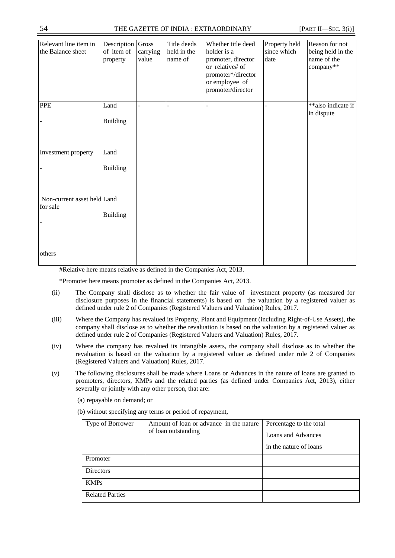| Relevant line item in<br>the Balance sheet | Description Gross<br>of item of<br>property | carrying<br>value | Title deeds<br>held in the<br>name of | Whether title deed<br>holder is a<br>promoter, director<br>or relative# of<br>promoter*/director<br>or employee of<br>promoter/director | Property held<br>since which<br>date | Reason for not<br>being held in the<br>name of the<br>company** |
|--------------------------------------------|---------------------------------------------|-------------------|---------------------------------------|-----------------------------------------------------------------------------------------------------------------------------------------|--------------------------------------|-----------------------------------------------------------------|
| <b>PPE</b>                                 | Land<br><b>Building</b>                     |                   |                                       |                                                                                                                                         |                                      | **also indicate if<br>in dispute                                |
| Investment property                        | Land<br><b>Building</b>                     |                   |                                       |                                                                                                                                         |                                      |                                                                 |
| Non-current asset held Land<br>for sale    | <b>Building</b>                             |                   |                                       |                                                                                                                                         |                                      |                                                                 |
| others                                     |                                             |                   |                                       |                                                                                                                                         |                                      |                                                                 |

#Relative here means relative as defined in the Companies Act, 2013.

\*Promoter here means promoter as defined in the Companies Act, 2013.

- (ii) The Company shall disclose as to whether the fair value of investment property (as measured for disclosure purposes in the financial statements) is based on the valuation by a registered valuer as defined under rule 2 of Companies (Registered Valuers and Valuation) Rules, 2017.
- (iii) Where the Company has revalued its Property, Plant and Equipment (including Right-of-Use Assets), the company shall disclose as to whether the revaluation is based on the valuation by a registered valuer as defined under rule 2 of Companies (Registered Valuers and Valuation) Rules, 2017.
- (iv) Where the company has revalued its intangible assets, the company shall disclose as to whether the revaluation is based on the valuation by a registered valuer as defined under rule 2 of Companies (Registered Valuers and Valuation) Rules, 2017.
- (v) The following disclosures shall be made where Loans or Advances in the nature of loans are granted to promoters, directors, KMPs and the related parties (as defined under Companies Act, 2013), either severally or jointly with any other person, that are:
	- (a) repayable on demand; or

(b) without specifying any terms or period of repayment,

| Type of Borrower       | Amount of loan or advance in the nature<br>of loan outstanding | Percentage to the total<br>Loans and Advances<br>in the nature of loans |
|------------------------|----------------------------------------------------------------|-------------------------------------------------------------------------|
| Promoter               |                                                                |                                                                         |
| <b>Directors</b>       |                                                                |                                                                         |
| <b>KMPs</b>            |                                                                |                                                                         |
| <b>Related Parties</b> |                                                                |                                                                         |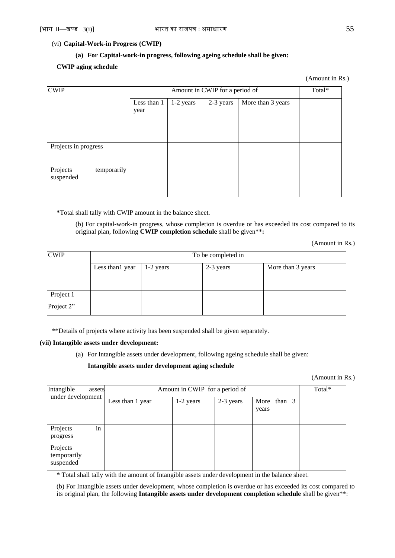### (vi) **Capital-Work-in Progress (CWIP)**

### **(a) For Capital-work-in progress, following ageing schedule shall be given:**

### **CWIP aging schedule**

(Amount in Rs.)

| <b>CWIP</b>                          |                     | Total*    |           |                   |  |
|--------------------------------------|---------------------|-----------|-----------|-------------------|--|
|                                      | Less than 1<br>year | 1-2 years | 2-3 years | More than 3 years |  |
| Projects in progress                 |                     |           |           |                   |  |
| Projects<br>temporarily<br>suspended |                     |           |           |                   |  |

**\***Total shall tally with CWIP amount in the balance sheet.

(b) For capital-work-in progress, whose completion is overdue or has exceeded its cost compared to its original plan, following **CWIP completion schedule** shall be given\*\***:**

(Amount in Rs.)

| <b>CWIP</b> | To be completed in |             |           |                   |  |  |  |  |  |
|-------------|--------------------|-------------|-----------|-------------------|--|--|--|--|--|
|             | Less than 1 year   | $1-2$ years | 2-3 years | More than 3 years |  |  |  |  |  |
|             |                    |             |           |                   |  |  |  |  |  |
| Project 1   |                    |             |           |                   |  |  |  |  |  |
| Project 2"  |                    |             |           |                   |  |  |  |  |  |

\*\*Details of projects where activity has been suspended shall be given separately.

#### **(vii) Intangible assets under development:**

(a) For Intangible assets under development, following ageing schedule shall be given:

### **Intangible assets under development aging schedule**

(Amount in Rs.)

| Intangible<br>assets                 | Amount in CWIP for a period of | Total*    |           |                      |  |
|--------------------------------------|--------------------------------|-----------|-----------|----------------------|--|
| under development                    | Less than 1 year               | 1-2 years | 2-3 years | More than 3<br>years |  |
| in<br>Projects<br>progress           |                                |           |           |                      |  |
| Projects<br>temporarily<br>suspended |                                |           |           |                      |  |

**\*** Total shall tally with the amount of Intangible assets under development in the balance sheet.

(b) For Intangible assets under development, whose completion is overdue or has exceeded its cost compared to its original plan, the following **Intangible assets under development completion schedule** shall be given\*\*: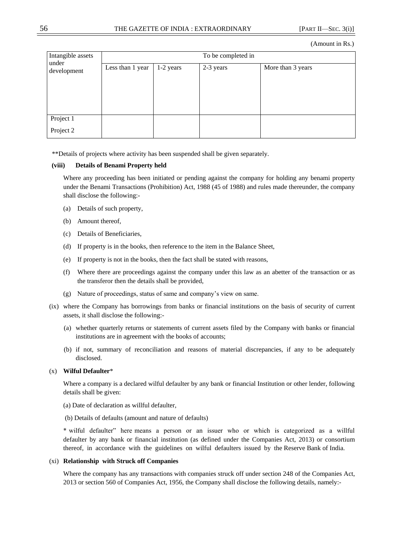| Intangible assets<br>under<br>development | To be completed in |           |           |                   |  |  |  |  |  |
|-------------------------------------------|--------------------|-----------|-----------|-------------------|--|--|--|--|--|
|                                           | Less than 1 year   | 1-2 years | 2-3 years | More than 3 years |  |  |  |  |  |
| Project 1<br>Project 2                    |                    |           |           |                   |  |  |  |  |  |

\*\*Details of projects where activity has been suspended shall be given separately.

### **(viii) Details of Benami Property held**

Where any proceeding has been initiated or pending against the company for holding any benami property under the Benami Transactions (Prohibition) Act, 1988 (45 of 1988) and rules made thereunder, the company shall disclose the following:-

- (a) Details of such property,
- (b) Amount thereof,
- (c) Details of Beneficiaries,
- (d) If property is in the books, then reference to the item in the Balance Sheet,
- (e) If property is not in the books, then the fact shall be stated with reasons,
- (f) Where there are proceedings against the company under this law as an abetter of the transaction or as the transferor then the details shall be provided,
- (g) Nature of proceedings, status of same and company's view on same.
- (ix) where the Company has borrowings from banks or financial institutions on the basis of security of current assets, it shall disclose the following:-
	- (a) whether quarterly returns or statements of current assets filed by the Company with banks or financial institutions are in agreement with the books of accounts;
	- (b) if not, summary of reconciliation and reasons of material discrepancies, if any to be adequately disclosed.

# (x) **Wilful Defaulter**\*

Where a company is a declared wilful defaulter by any bank or financial Institution or other lender, following details shall be given:

- (a) Date of declaration as willful defaulter,
- (b) Details of defaults (amount and nature of defaults)

\* wilful defaulter‖ here means a person or an issuer who or which is categorized as a willful defaulter by any bank or financial institution (as defined under the Companies Act, 2013) or consortium thereof, in accordance with the guidelines on wilful defaulters issued by the Reserve Bank of India.

### (xi) **Relationship with Struck off Companies**

Where the company has any transactions with companies struck off under section 248 of the Companies Act, 2013 or section 560 of Companies Act, 1956, the Company shall disclose the following details, namely:-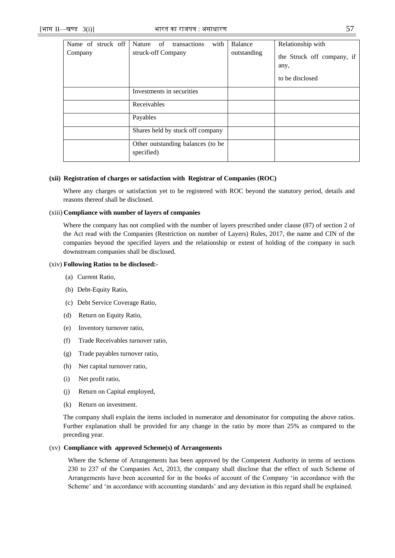| Name of struck off | with<br>of<br>Nature<br>transactions            | Balance     | Relationship with                                     |
|--------------------|-------------------------------------------------|-------------|-------------------------------------------------------|
| Company            | struck-off Company                              | outstanding | the Struck off company, if<br>any,<br>to be disclosed |
|                    | Investments in securities                       |             |                                                       |
|                    | Receivables                                     |             |                                                       |
|                    | Payables                                        |             |                                                       |
|                    | Shares held by stuck off company                |             |                                                       |
|                    | Other outstanding balances (to be<br>specified) |             |                                                       |

### **(xii) Registration of charges or satisfaction with Registrar of Companies (ROC)**

Where any charges or satisfaction yet to be registered with ROC beyond the statutory period, details and reasons thereof shall be disclosed.

### (xiii) **Compliance with number of layers of companies**

Where the company has not complied with the number of layers prescribed under clause (87) of section 2 of the Act read with the Companies (Restriction on number of Layers) Rules, 2017, the name and CIN of the companies beyond the specified layers and the relationship or extent of holding of the company in such downstream companies shall be disclosed.

### (xiv) **Following Ratios to be disclosed:-**

- (a) Current Ratio,
- (b) Debt-Equity Ratio,
- (c) Debt Service Coverage Ratio,
- (d) Return on Equity Ratio,
- (e) Inventory turnover ratio,
- (f) Trade Receivables turnover ratio,
- (g) Trade payables turnover ratio,
- (h) Net capital turnover ratio,
- (i) Net profit ratio,
- (j) Return on Capital employed,
- (k) Return on investment.

The company shall explain the items included in numerator and denominator for computing the above ratios. Further explanation shall be provided for any change in the ratio by more than 25% as compared to the preceding year.

### (xv) **Compliance with approved Scheme(s) of Arrangements**

Where the Scheme of Arrangements has been approved by the Competent Authority in terms of sections 230 to 237 of the Companies Act, 2013, the company shall disclose that the effect of such Scheme of Arrangements have been accounted for in the books of account of the Company 'in accordance with the Scheme' and 'in accordance with accounting standards' and any deviation in this regard shall be explained.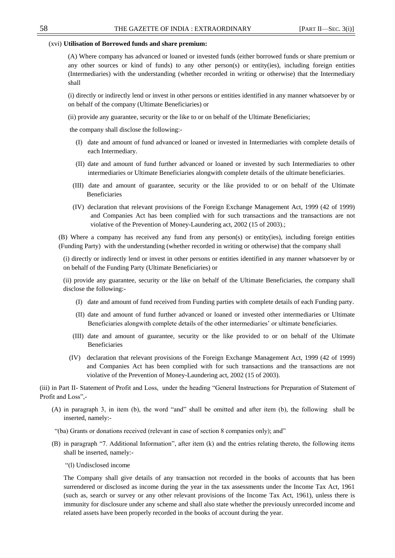### (xvi) **Utilisation of Borrowed funds and share premium:**

(A) Where company has advanced or loaned or invested funds (either borrowed funds or share premium or any other sources or kind of funds) to any other person(s) or entity(ies), including foreign entities (Intermediaries) with the understanding (whether recorded in writing or otherwise) that the Intermediary shall

(i) directly or indirectly lend or invest in other persons or entities identified in any manner whatsoever by or on behalf of the company (Ultimate Beneficiaries) or

(ii) provide any guarantee, security or the like to or on behalf of the Ultimate Beneficiaries;

the company shall disclose the following:-

- (I) date and amount of fund advanced or loaned or invested in Intermediaries with complete details of each Intermediary.
- (II) date and amount of fund further advanced or loaned or invested by such Intermediaries to other intermediaries or Ultimate Beneficiaries alongwith complete details of the ultimate beneficiaries.
- (III) date and amount of guarantee, security or the like provided to or on behalf of the Ultimate Beneficiaries
- (IV) declaration that relevant provisions of the Foreign Exchange Management Act, 1999 (42 of 1999) and Companies Act has been complied with for such transactions and the transactions are not violative of the Prevention of Money-Laundering act, 2002 (15 of 2003).;

(B) Where a company has received any fund from any person(s) or entity(ies), including foreign entities (Funding Party)with the understanding (whether recorded in writing or otherwise) that the company shall

(i) directly or indirectly lend or invest in other persons or entities identified in any manner whatsoever by or on behalf of the Funding Party (Ultimate Beneficiaries) or

(ii) provide any guarantee, security or the like on behalf of the Ultimate Beneficiaries, the company shall disclose the following:-

- (I) date and amount of fund received from Funding parties with complete details of each Funding party.
- (II) date and amount of fund further advanced or loaned or invested other intermediaries or Ultimate Beneficiaries alongwith complete details of the other intermediaries' or ultimate beneficiaries.
- (III) date and amount of guarantee, security or the like provided to or on behalf of the Ultimate Beneficiaries
- (IV) declaration that relevant provisions of the Foreign Exchange Management Act, 1999 (42 of 1999) and Companies Act has been complied with for such transactions and the transactions are not violative of the Prevention of Money-Laundering act, 2002 (15 of 2003).

(iii) in Part II- Statement of Profit and Loss, under the heading "General Instructions for Preparation of Statement of Profit and Loss",-

- (A) in paragraph 3, in item (b), the word "and" shall be omitted and after item (b), the following shall be inserted, namely:-
- "(ba) Grants or donations received (relevant in case of section 8 companies only); and"
- $(B)$  in paragraph "7. Additional Information", after item  $(k)$  and the entries relating thereto, the following items shall be inserted, namely:-
	- ―(l) Undisclosed income

The Company shall give details of any transaction not recorded in the books of accounts that has been surrendered or disclosed as income during the year in the tax assessments under the Income Tax Act, 1961 (such as, search or survey or any other relevant provisions of the Income Tax Act, 1961), unless there is immunity for disclosure under any scheme and shall also state whether the previously unrecorded income and related assets have been properly recorded in the books of account during the year.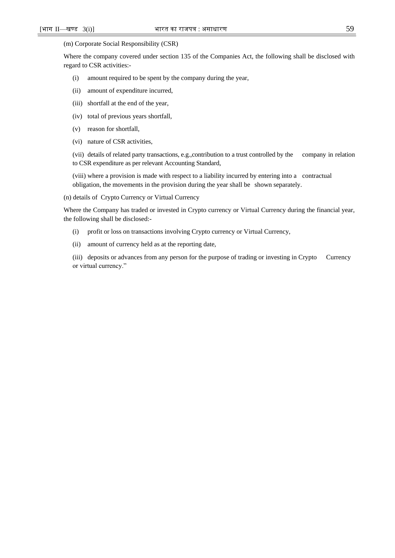#### (m) Corporate Social Responsibility (CSR)

Where the company covered under section 135 of the Companies Act, the following shall be disclosed with regard to CSR activities:-

- (i) amount required to be spent by the company during the year,
- (ii) amount of expenditure incurred,
- (iii) shortfall at the end of the year,
- (iv) total of previous years shortfall,
- (v) reason for shortfall,
- (vi) nature of CSR activities,

(vii) details of related party transactions, e.g.,contribution to a trust controlled by the company in relation to CSR expenditure as per relevant Accounting Standard,

(viii) where a provision is made with respect to a liability incurred by entering into a contractual obligation, the movements in the provision during the year shall be shown separately.

(n) details of Crypto Currency or Virtual Currency

Where the Company has traded or invested in Crypto currency or Virtual Currency during the financial year, the following shall be disclosed:-

- (i) profit or loss on transactions involving Crypto currency or Virtual Currency,
- (ii) amount of currency held as at the reporting date,

(iii) deposits or advances from any person for the purpose of trading or investing in Crypto Currency or virtual currency."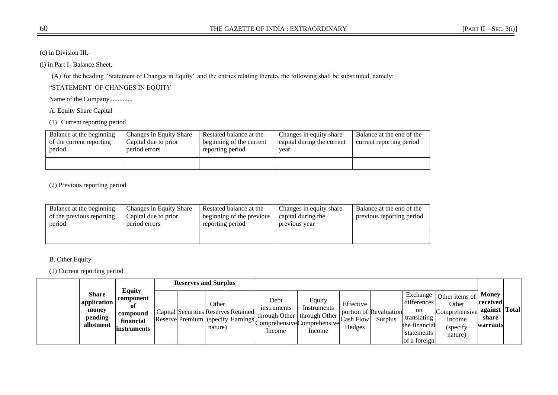(c) in Division III,-

(i) in Part I- Balance Sheet,-

(A) for the heading "Statement of Changes in Equity" and the entries relating thereto, the following shall be substituted, namely:

―STATEMENT OF CHANGES IN EQUITY

Name of the Company..............

A. Equity Share Capital

(1) Current reporting period

| Balance at the beginning<br>of the current reporting<br>period | Changes in Equity Share<br>Capital due to prior<br>period errors | Restated balance at the<br>beginning of the current<br>reporting period | Changes in equity share<br>capital during the current<br>year | Balance at the end of the<br>current reporting period |
|----------------------------------------------------------------|------------------------------------------------------------------|-------------------------------------------------------------------------|---------------------------------------------------------------|-------------------------------------------------------|
|                                                                |                                                                  |                                                                         |                                                               |                                                       |

(2) Previous reporting period

| Balance at the beginning<br>of the previous reporting<br>period | Changes in Equity Share<br>Capital due to prior<br>period errors | Restated balance at the<br>beginning of the previous<br>reporting period | Changes in equity share<br>capital during the<br>previous year | Balance at the end of the<br>previous reporting period |
|-----------------------------------------------------------------|------------------------------------------------------------------|--------------------------------------------------------------------------|----------------------------------------------------------------|--------------------------------------------------------|
|                                                                 |                                                                  |                                                                          |                                                                |                                                        |

B. Other Equity

(1) Current reporting period

|                                                              |                                                                           |                                                                                   | <b>Reserves and Surplus</b> |                               |                                                                                                 |                                         |                                          |                                                                                 |                                                                                                            |                                                             |  |
|--------------------------------------------------------------|---------------------------------------------------------------------------|-----------------------------------------------------------------------------------|-----------------------------|-------------------------------|-------------------------------------------------------------------------------------------------|-----------------------------------------|------------------------------------------|---------------------------------------------------------------------------------|------------------------------------------------------------------------------------------------------------|-------------------------------------------------------------|--|
| <b>Share</b><br>application<br>money<br>pending<br>allotment | <b>Equity</b><br>component<br>Оt<br>compound<br>financial<br>linstruments | Capital Securities Reserves Retained<br>Reserve Premium (specify Earnings) $\sim$ | Other<br>nature)            | Debt<br>instruments<br>Income | Equity<br>Instruments<br>through Other   through Other<br>Comprehensive Comprehensive<br>Income | Effective<br><b>Cash Flow</b><br>Hedges | portion of Revaluation<br><b>Surplus</b> | differences<br>on<br>translating<br>the financial<br>statements<br>of a foreign | $\vert$ Exchange $\vert$ Other items of $\vert$<br>Other<br>Comprehensive<br>Income<br>(specify<br>nature) | Money<br>  received<br>l against Total<br>share<br>warrants |  |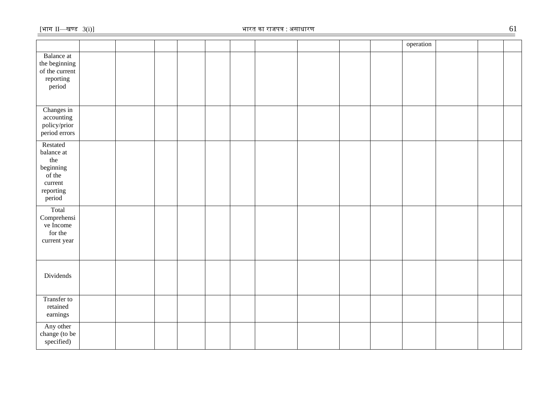|                                                                                        |  |  |  |  |  | operation |  |  |
|----------------------------------------------------------------------------------------|--|--|--|--|--|-----------|--|--|
| <b>Balance</b> at<br>the beginning<br>of the current<br>reporting<br>period            |  |  |  |  |  |           |  |  |
| Changes in<br>accounting<br>policy/prior<br>period errors                              |  |  |  |  |  |           |  |  |
| Restated<br>balance at<br>the<br>beginning<br>of the<br>current<br>reporting<br>period |  |  |  |  |  |           |  |  |
| Total<br>Comprehensi<br>ve Income<br>for the<br>current year                           |  |  |  |  |  |           |  |  |
| Dividends                                                                              |  |  |  |  |  |           |  |  |
| Transfer to<br>retained<br>earnings                                                    |  |  |  |  |  |           |  |  |
| Any other<br>change (to be<br>specified)                                               |  |  |  |  |  |           |  |  |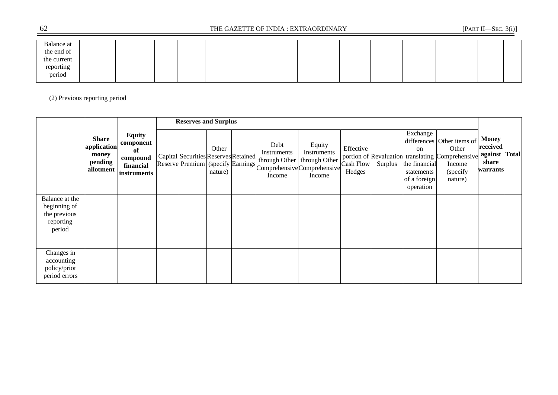| Balance at  |  |  |  |  |  |  |  |
|-------------|--|--|--|--|--|--|--|
| the end of  |  |  |  |  |  |  |  |
| the current |  |  |  |  |  |  |  |
| reporting   |  |  |  |  |  |  |  |
| period      |  |  |  |  |  |  |  |
|             |  |  |  |  |  |  |  |

# (2) Previous reporting period

|                                                           |                                                              |                                                                          | <b>Reserves and Surplus</b>          |                  |                                                |                                                                                                                    |                                         |         |                                                                                       |                                                                                                                           |                                                          |              |
|-----------------------------------------------------------|--------------------------------------------------------------|--------------------------------------------------------------------------|--------------------------------------|------------------|------------------------------------------------|--------------------------------------------------------------------------------------------------------------------|-----------------------------------------|---------|---------------------------------------------------------------------------------------|---------------------------------------------------------------------------------------------------------------------------|----------------------------------------------------------|--------------|
| Balance at the                                            | <b>Share</b><br>application<br>money<br>pending<br>allotment | <b>Equity</b><br>component<br>of<br>compound<br>financial<br>instruments | Capital Securities Reserves Retained | Other<br>nature) | Debt<br>instruments<br>through Other<br>Income | Equity<br>Instruments<br>through Other<br>Reserve Premium (specify Earnings Comprehensive Comprehensive)<br>Income | Effective<br><b>Cash Flow</b><br>Hedges | Surplus | Exchange<br><sub>on</sub><br>the financial<br>statements<br>of a foreign<br>operation | differences Other items of<br>Other<br>portion of Revaluation translating Comprehensive<br>Income<br>(specify)<br>nature) | <b>Money</b><br>received<br>against<br>share<br>warrants | <b>Total</b> |
| beginning of<br>the previous<br>reporting<br>period       |                                                              |                                                                          |                                      |                  |                                                |                                                                                                                    |                                         |         |                                                                                       |                                                                                                                           |                                                          |              |
| Changes in<br>accounting<br>policy/prior<br>period errors |                                                              |                                                                          |                                      |                  |                                                |                                                                                                                    |                                         |         |                                                                                       |                                                                                                                           |                                                          |              |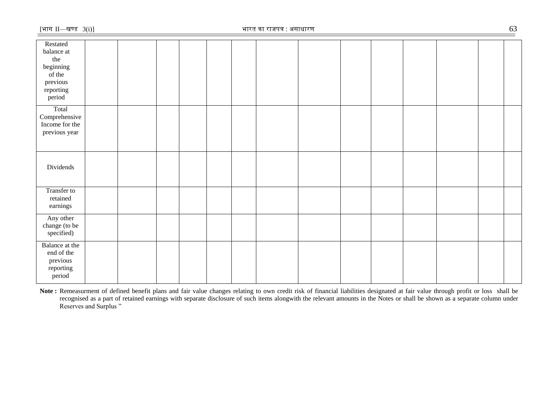Note: Remeasurment of defined benefit plans and fair value changes relating to own credit risk of financial liabilities designated at fair value through profit or loss shall be recognised as a part of retained earnings with separate disclosure of such items alongwith the relevant amounts in the Notes or shall be shown as a separate column under Reserves and Surplus "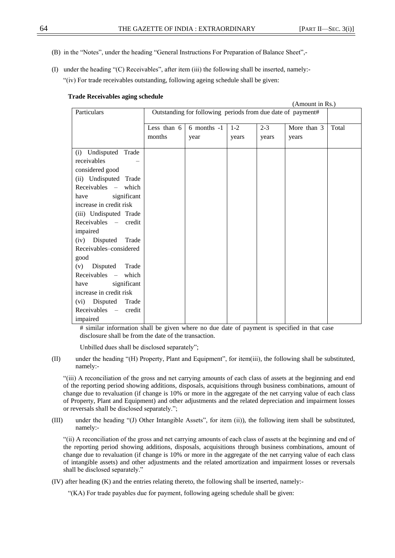- (B) in the "Notes", under the heading "General Instructions For Preparation of Balance Sheet",-
- (I) under the heading " $(C)$  Receivables", after item (iii) the following shall be inserted, namely:-―(iv) For trade receivables outstanding, following ageing schedule shall be given:

### **Trade Receivables aging schedule**

|                                                                                                |        |                                                             |         |         | (Amount in Rs.) |       |
|------------------------------------------------------------------------------------------------|--------|-------------------------------------------------------------|---------|---------|-----------------|-------|
| Particulars                                                                                    |        | Outstanding for following periods from due date of payment# |         |         |                 |       |
|                                                                                                |        | Less than $6 \mid 6$ months -1                              | $1 - 2$ | $2 - 3$ | More than 3     | Total |
|                                                                                                | months | year                                                        | years   | years   | years           |       |
|                                                                                                |        |                                                             |         |         |                 |       |
|                                                                                                |        |                                                             |         |         |                 |       |
| receivables                                                                                    |        |                                                             |         |         |                 |       |
| considered good                                                                                |        |                                                             |         |         |                 |       |
| (ii) Undisputed Trade                                                                          |        |                                                             |         |         |                 |       |
| Receivables – which                                                                            |        |                                                             |         |         |                 |       |
| significant<br>have                                                                            |        |                                                             |         |         |                 |       |
| increase in credit risk                                                                        |        |                                                             |         |         |                 |       |
| (iii) Undisputed Trade                                                                         |        |                                                             |         |         |                 |       |
| $Receivables$ – credit                                                                         |        |                                                             |         |         |                 |       |
| impaired                                                                                       |        |                                                             |         |         |                 |       |
| (iv) Disputed Trade                                                                            |        |                                                             |         |         |                 |       |
| Receivables-considered                                                                         |        |                                                             |         |         |                 |       |
| good                                                                                           |        |                                                             |         |         |                 |       |
| (v) Disputed<br>Trade                                                                          |        |                                                             |         |         |                 |       |
| $Receivables$ – which                                                                          |        |                                                             |         |         |                 |       |
| have                                                                                           |        |                                                             |         |         |                 |       |
| increase in credit risk                                                                        |        |                                                             |         |         |                 |       |
|                                                                                                |        |                                                             |         |         |                 |       |
|                                                                                                |        |                                                             |         |         |                 |       |
|                                                                                                |        |                                                             |         |         |                 |       |
| (i) Undisputed Trade<br>significant<br>(vi) Disputed Trade<br>Receivables - credit<br>impaired |        |                                                             |         |         |                 |       |

# similar information shall be given where no due date of payment is specified in that case disclosure shall be from the date of the transaction.

Unbilled dues shall be disclosed separately";

(II) under the heading "(H) Property, Plant and Equipment", for item(iii), the following shall be substituted, namely:-

―(iii) A reconciliation of the gross and net carrying amounts of each class of assets at the beginning and end of the reporting period showing additions, disposals, acquisitions through business combinations, amount of change due to revaluation (if change is 10% or more in the aggregate of the net carrying value of each class of Property, Plant and Equipment) and other adjustments and the related depreciation and impairment losses or reversals shall be disclosed separately.";

(III) under the heading "(J) Other Intangible Assets", for item (ii)), the following item shall be substituted, namely:-

―(ii) A reconciliation of the gross and net carrying amounts of each class of assets at the beginning and end of the reporting period showing additions, disposals, acquisitions through business combinations, amount of change due to revaluation (if change is 10% or more in the aggregate of the net carrying value of each class of intangible assets) and other adjustments and the related amortization and impairment losses or reversals shall be disclosed separately."

(IV) after heading (K) and the entries relating thereto, the following shall be inserted, namely:-

―(KA) For trade payables due for payment, following ageing schedule shall be given: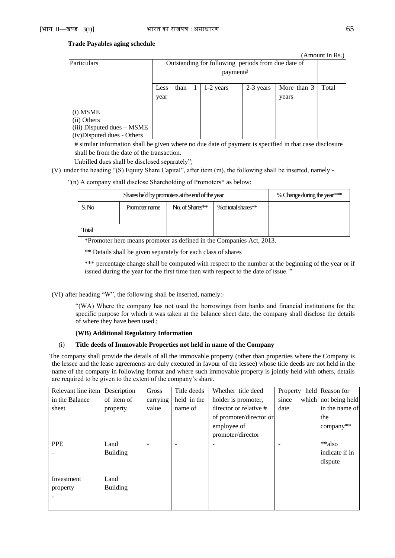### **Trade Payables aging schedule**

|                            |                                                       |          |  |                                                    |  |       | (Amount in Rs.) |  |
|----------------------------|-------------------------------------------------------|----------|--|----------------------------------------------------|--|-------|-----------------|--|
| Particulars                |                                                       |          |  | Outstanding for following periods from due date of |  |       |                 |  |
|                            |                                                       | payment# |  |                                                    |  |       |                 |  |
|                            | More than 3<br>1-2 years<br>2-3 years<br>than<br>Less |          |  |                                                    |  |       | Total           |  |
|                            | year                                                  |          |  |                                                    |  | years |                 |  |
|                            |                                                       |          |  |                                                    |  |       |                 |  |
| (i) MSME                   |                                                       |          |  |                                                    |  |       |                 |  |
| (ii) Others                |                                                       |          |  |                                                    |  |       |                 |  |
| (iii) Disputed dues – MSME |                                                       |          |  |                                                    |  |       |                 |  |
| (iv)Disputed dues - Others |                                                       |          |  |                                                    |  |       |                 |  |

# similar information shall be given where no due date of payment is specified in that case disclosure shall be from the date of the transaction.

Unbilled dues shall be disclosed separately";

(V) under the heading "(S) Equity Share Capital", after item (m), the following shall be inserted, namely:-

―(n) A company shall disclose Shareholding of Promoters\* as below:

|       | Shares held by promoters at the end of the year | % Change during the year*** |                     |  |
|-------|-------------------------------------------------|-----------------------------|---------------------|--|
| S.No  | Promoter name                                   | No. of Shares**             | % of total shares** |  |
| Total |                                                 |                             |                     |  |

\*Promoter here means promoter as defined in the Companies Act, 2013.

\*\* Details shall be given separately for each class of shares

\*\*\* percentage change shall be computed with respect to the number at the beginning of the year or if issued during the year for the first time then with respect to the date of issue."

(VI) after heading "W", the following shall be inserted, namely:-

―(WA) Where the company has not used the borrowings from banks and financial institutions for the specific purpose for which it was taken at the balance sheet date, the company shall disclose the details of where they have been used.;

#### **(WB) Additional Regulatory Information**

### (i) **Title deeds of Immovable Properties not held in name of the Company**

The company shall provide the details of all the immovable property (other than properties where the Company is the lessee and the lease agreements are duly executed in favour of the lessee) whose title deeds are not held in the name of the company in following format and where such immovable property is jointly held with others, details are required to be given to the extent of the company's share.

| Relevant line item | Description     | Gross    | Title deeds | Whether title deed      | Property | held Reason for      |
|--------------------|-----------------|----------|-------------|-------------------------|----------|----------------------|
| in the Balance     | of item of      | carrying | held in the | holder is promoter,     | since    | which not being held |
| sheet              | property        | value    | name of     | director or relative #  | date     | in the name of       |
|                    |                 |          |             | of promoter/director or |          | the                  |
|                    |                 |          |             | employee of             |          | company**            |
|                    |                 |          |             | promoter/director       |          |                      |
| <b>PPE</b>         | Land            |          |             |                         |          | **also               |
|                    | <b>Building</b> |          |             |                         |          | indicate if in       |
|                    |                 |          |             |                         |          | dispute              |
|                    |                 |          |             |                         |          |                      |
| Investment         | Land            |          |             |                         |          |                      |
| property           | <b>Building</b> |          |             |                         |          |                      |
|                    |                 |          |             |                         |          |                      |
|                    |                 |          |             |                         |          |                      |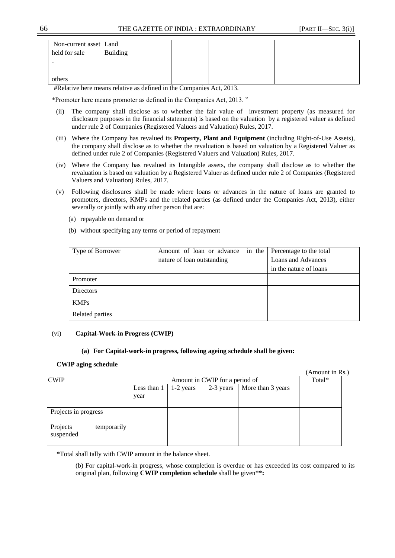| Non-current asset Land |                 |  |  |  |
|------------------------|-----------------|--|--|--|
| held for sale          | <b>Building</b> |  |  |  |
|                        |                 |  |  |  |
|                        |                 |  |  |  |
| others                 |                 |  |  |  |

#Relative here means relative as defined in the Companies Act, 2013.

\*Promoter here means promoter as defined in the Companies Act, 2013. ‖

- (ii) The company shall disclose as to whether the fair value of investment property (as measured for disclosure purposes in the financial statements) is based on the valuation by a registered valuer as defined under rule 2 of Companies (Registered Valuers and Valuation) Rules, 2017.
- (iii) Where the Company has revalued its **Property, Plant and Equipment** (including Right-of-Use Assets), the company shall disclose as to whether the revaluation is based on valuation by a Registered Valuer as defined under rule 2 of Companies (Registered Valuers and Valuation) Rules, 2017.
- (iv) Where the Company has revalued its Intangible assets, the company shall disclose as to whether the revaluation is based on valuation by a Registered Valuer as defined under rule 2 of Companies (Registered Valuers and Valuation) Rules, 2017.
- (v) Following disclosures shall be made where loans or advances in the nature of loans are granted to promoters, directors, KMPs and the related parties (as defined under the Companies Act, 2013), either severally or jointly with any other person that are:
	- (a) repayable on demand or
	- (b) without specifying any terms or period of repayment

| Type of Borrower | Amount of loan or advance in the | Percentage to the total |
|------------------|----------------------------------|-------------------------|
|                  | nature of loan outstanding       | Loans and Advances      |
|                  |                                  | in the nature of loans  |
| Promoter         |                                  |                         |
| <b>Directors</b> |                                  |                         |
| <b>KMPs</b>      |                                  |                         |
| Related parties  |                                  |                         |

### (vi) **Capital-Work-in Progress (CWIP)**

### **(a) For Capital-work-in progress, following ageing schedule shall be given:**

### **CWIP aging schedule**

(Amount in Rs.)

| <b>CWIP</b>                          |             | Amount in CWIP for a period of | Total*    |                   |  |
|--------------------------------------|-------------|--------------------------------|-----------|-------------------|--|
|                                      | Less than 1 | $1-2$ years                    | 2-3 years | More than 3 years |  |
|                                      | year        |                                |           |                   |  |
|                                      |             |                                |           |                   |  |
| Projects in progress                 |             |                                |           |                   |  |
| Projects<br>temporarily<br>suspended |             |                                |           |                   |  |

**\***Total shall tally with CWIP amount in the balance sheet.

(b) For capital-work-in progress, whose completion is overdue or has exceeded its cost compared to its original plan, following **CWIP completion schedule** shall be given\*\***:**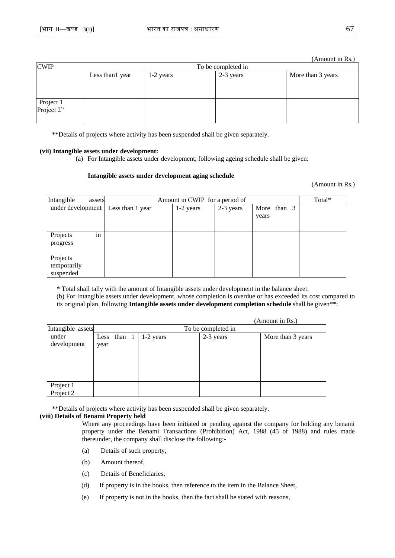(Amount in Rs.)

| <b>CWIP</b>             |                  |           | To be completed in |                   |
|-------------------------|------------------|-----------|--------------------|-------------------|
|                         | Less than 1 year | 1-2 years | 2-3 years          | More than 3 years |
|                         |                  |           |                    |                   |
|                         |                  |           |                    |                   |
| Project 1<br>Project 2" |                  |           |                    |                   |
|                         |                  |           |                    |                   |
|                         |                  |           |                    |                   |

\*\*Details of projects where activity has been suspended shall be given separately.

### **(vii) Intangible assets under development:**

(a) For Intangible assets under development, following ageing schedule shall be given:

### **Intangible assets under development aging schedule**

(Amount in Rs.)

| Intangible<br>assets                 | Amount in CWIP for a period of | Total*      |           |                      |  |
|--------------------------------------|--------------------------------|-------------|-----------|----------------------|--|
| under development                    | Less than 1 year               | $1-2$ years | 2-3 years | More than 3<br>years |  |
| in<br>Projects<br>progress           |                                |             |           |                      |  |
| Projects<br>temporarily<br>suspended |                                |             |           |                      |  |

**\*** Total shall tally with the amount of Intangible assets under development in the balance sheet. (b) For Intangible assets under development, whose completion is overdue or has exceeded its cost compared to its original plan, following **Intangible assets under development completion schedule** shall be given\*\*:

|                   |                    |             |  |           |           | (Amount in Rs.)   |
|-------------------|--------------------|-------------|--|-----------|-----------|-------------------|
| Intangible assets | To be completed in |             |  |           |           |                   |
| under             |                    | Less than 1 |  | 1-2 years | 2-3 years | More than 3 years |
| development       | year               |             |  |           |           |                   |
|                   |                    |             |  |           |           |                   |
|                   |                    |             |  |           |           |                   |
|                   |                    |             |  |           |           |                   |
|                   |                    |             |  |           |           |                   |
| Project 1         |                    |             |  |           |           |                   |
| Project 2         |                    |             |  |           |           |                   |

\*\*Details of projects where activity has been suspended shall be given separately.

### **(viii) Details of Benami Property held**

Where any proceedings have been initiated or pending against the company for holding any benami property under the Benami Transactions (Prohibition) Act, 1988 (45 of 1988) and rules made thereunder, the company shall disclose the following:-

- (a) Details of such property,
- (b) Amount thereof,
- (c) Details of Beneficiaries,
- (d) If property is in the books, then reference to the item in the Balance Sheet,
- (e) If property is not in the books, then the fact shall be stated with reasons,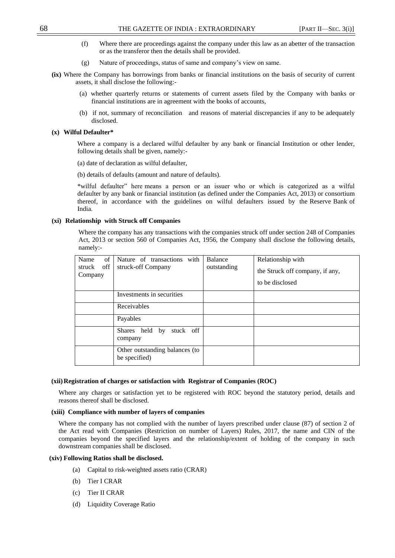- (f) Where there are proceedings against the company under this law as an abetter of the transaction or as the transferor then the details shall be provided.
- (g) Nature of proceedings, status of same and company's view on same.
- **(ix)** Where the Company has borrowings from banks or financial institutions on the basis of security of current assets, it shall disclose the following:-
	- (a) whether quarterly returns or statements of current assets filed by the Company with banks or financial institutions are in agreement with the books of accounts,
	- (b) if not, summary of reconciliation and reasons of material discrepancies if any to be adequately disclosed.

### **(x) Wilful Defaulter\***

Where a company is a declared wilful defaulter by any bank or financial Institution or other lender, following details shall be given, namely:-

- (a) date of declaration as wilful defaulter,
- (b) details of defaults (amount and nature of defaults).

\*wilful defaulter‖ here means a person or an issuer who or which is categorized as a wilful defaulter by any bank or financial institution (as defined under the Companies Act, 2013) or consortium thereof, in accordance with the guidelines on wilful defaulters issued by the Reserve Bank of India.

### **(xi) Relationship with Struck off Companies**

Where the company has any transactions with the companies struck off under section 248 of Companies Act, 2013 or section 560 of Companies Act, 1956, the Company shall disclose the following details, namely:-

| of<br>Name<br>off<br>struck<br>Company | Nature of transactions with<br>struck-off Company | Balance<br>outstanding | Relationship with<br>the Struck off company, if any,<br>to be disclosed |
|----------------------------------------|---------------------------------------------------|------------------------|-------------------------------------------------------------------------|
|                                        | Investments in securities                         |                        |                                                                         |
|                                        | Receivables                                       |                        |                                                                         |
|                                        | Payables                                          |                        |                                                                         |
|                                        | stuck off<br>Shares held by<br>company            |                        |                                                                         |
|                                        | Other outstanding balances (to<br>be specified)   |                        |                                                                         |

### **(xii)Registration of charges or satisfaction with Registrar of Companies (ROC)**

Where any charges or satisfaction yet to be registered with ROC beyond the statutory period, details and reasons thereof shall be disclosed.

### **(xiii) Compliance with number of layers of companies**

Where the company has not complied with the number of layers prescribed under clause (87) of section 2 of the Act read with Companies (Restriction on number of Layers) Rules, 2017, the name and CIN of the companies beyond the specified layers and the relationship/extent of holding of the company in such downstream companies shall be disclosed.

### **(xiv) Following Ratios shall be disclosed.**

- (a) Capital to risk-weighted assets ratio (CRAR)
- (b) Tier I CRAR
- (c) Tier II CRAR
- (d) Liquidity Coverage Ratio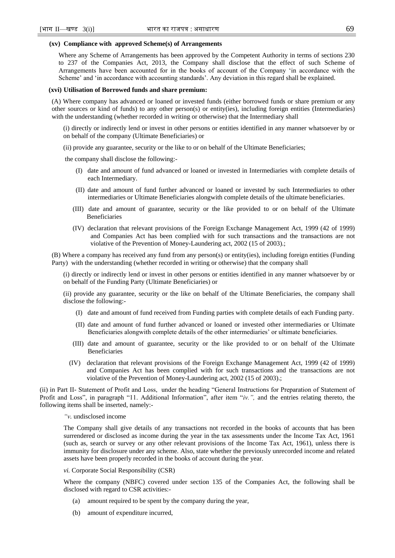#### **(xv) Compliance with approved Scheme(s) of Arrangements**

Where any Scheme of Arrangements has been approved by the Competent Authority in terms of sections 230 to 237 of the Companies Act, 2013, the Company shall disclose that the effect of such Scheme of Arrangements have been accounted for in the books of account of the Company 'in accordance with the Scheme' and 'in accordance with accounting standards'. Any deviation in this regard shall be explained.

#### **(xvi) Utilisation of Borrowed funds and share premium:**

(A) Where company has advanced or loaned or invested funds (either borrowed funds or share premium or any other sources or kind of funds) to any other person(s) or entity(ies), including foreign entities (Intermediaries) with the understanding (whether recorded in writing or otherwise) that the Intermediary shall

- (i) directly or indirectly lend or invest in other persons or entities identified in any manner whatsoever by or on behalf of the company (Ultimate Beneficiaries) or
- (ii) provide any guarantee, security or the like to or on behalf of the Ultimate Beneficiaries;

the company shall disclose the following:-

- (I) date and amount of fund advanced or loaned or invested in Intermediaries with complete details of each Intermediary.
- (II) date and amount of fund further advanced or loaned or invested by such Intermediaries to other intermediaries or Ultimate Beneficiaries alongwith complete details of the ultimate beneficiaries.
- (III) date and amount of guarantee, security or the like provided to or on behalf of the Ultimate Beneficiaries
- (IV) declaration that relevant provisions of the Foreign Exchange Management Act, 1999 (42 of 1999) and Companies Act has been complied with for such transactions and the transactions are not violative of the Prevention of Money-Laundering act, 2002 (15 of 2003).;

(B) Where a company has received any fund from any person(s) or entity(ies), including foreign entities (Funding Party)with the understanding (whether recorded in writing or otherwise) that the company shall

(i) directly or indirectly lend or invest in other persons or entities identified in any manner whatsoever by or on behalf of the Funding Party (Ultimate Beneficiaries) or

(ii) provide any guarantee, security or the like on behalf of the Ultimate Beneficiaries, the company shall disclose the following:-

- (I) date and amount of fund received from Funding parties with complete details of each Funding party.
- (II) date and amount of fund further advanced or loaned or invested other intermediaries or Ultimate Beneficiaries alongwith complete details of the other intermediaries' or ultimate beneficiaries.
- (III) date and amount of guarantee, security or the like provided to or on behalf of the Ultimate Beneficiaries
- (IV) declaration that relevant provisions of the Foreign Exchange Management Act, 1999 (42 of 1999) and Companies Act has been complied with for such transactions and the transactions are not violative of the Prevention of Money-Laundering act, 2002 (15 of 2003).;

(ii) in Part II- Statement of Profit and Loss, under the heading "General Instructions for Preparation of Statement of Profit and Loss", in paragraph "11. Additional Information", after item "iv.", and the entries relating thereto, the following items shall be inserted, namely:-

#### *"v.* undisclosed income

The Company shall give details of any transactions not recorded in the books of accounts that has been surrendered or disclosed as income during the year in the tax assessments under the Income Tax Act, 1961 (such as, search or survey or any other relevant provisions of the Income Tax Act, 1961), unless there is immunity for disclosure under any scheme. Also, state whether the previously unrecorded income and related assets have been properly recorded in the books of account during the year.

#### *vi.* Corporate Social Responsibility (CSR)

Where the company (NBFC) covered under section 135 of the Companies Act, the following shall be disclosed with regard to CSR activities:-

- (a) amount required to be spent by the company during the year,
- (b) amount of expenditure incurred,